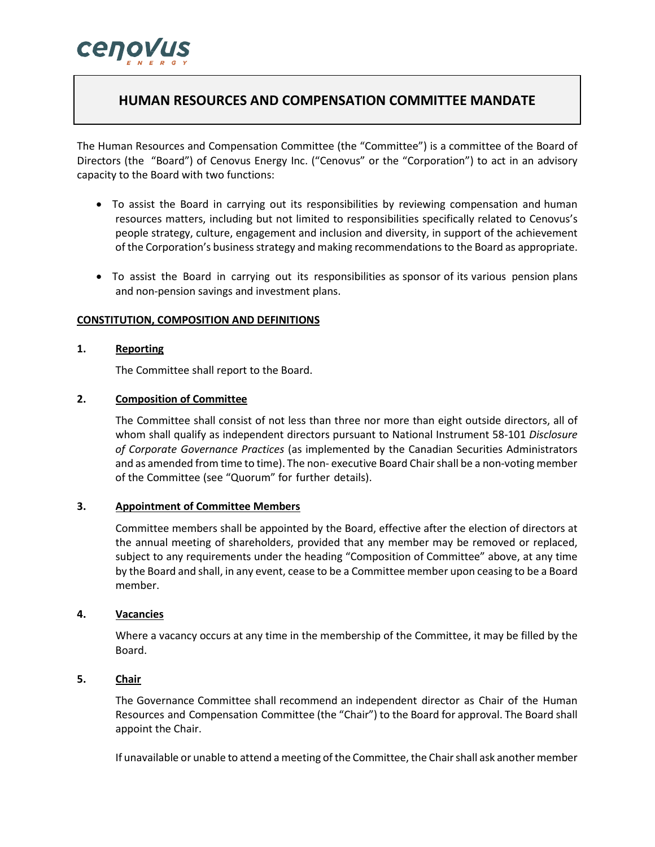

# **HUMAN RESOURCES AND COMPENSATION COMMITTEE MANDATE**

The Human Resources and Compensation Committee (the "Committee") is a committee of the Board of Directors (the "Board") of Cenovus Energy Inc. ("Cenovus" or the "Corporation") to act in an advisory capacity to the Board with two functions:

- To assist the Board in carrying out its responsibilities by reviewing compensation and human resources matters, including but not limited to responsibilities specifically related to Cenovus's people strategy, culture, engagement and inclusion and diversity, in support of the achievement of the Corporation's business strategy and making recommendationsto the Board as appropriate.
- To assist the Board in carrying out its responsibilities as sponsor of its various pension plans and non-pension savings and investment plans.

#### **CONSTITUTION, COMPOSITION AND DEFINITIONS**

## **1. Reporting**

The Committee shall report to the Board.

#### **2. Composition of Committee**

The Committee shall consist of not less than three nor more than eight outside directors, all of whom shall qualify as independent directors pursuant to National Instrument 58-101 *Disclosure of Corporate Governance Practices* (as implemented by the Canadian Securities Administrators and as amended from time to time). The non- executive Board Chair shall be a non-voting member of the Committee (see "Quorum" for further details).

#### **3. Appointment of Committee Members**

Committee members shall be appointed by the Board, effective after the election of directors at the annual meeting of shareholders, provided that any member may be removed or replaced, subject to any requirements under the heading "Composition of Committee" above, at any time by the Board and shall, in any event, cease to be a Committee member upon ceasing to be a Board member.

#### **4. Vacancies**

Where a vacancy occurs at any time in the membership of the Committee, it may be filled by the Board.

# **5. Chair**

The Governance Committee shall recommend an independent director as Chair of the Human Resources and Compensation Committee (the "Chair") to the Board for approval. The Board shall appoint the Chair.

If unavailable or unable to attend a meeting of the Committee, the Chair shall ask another member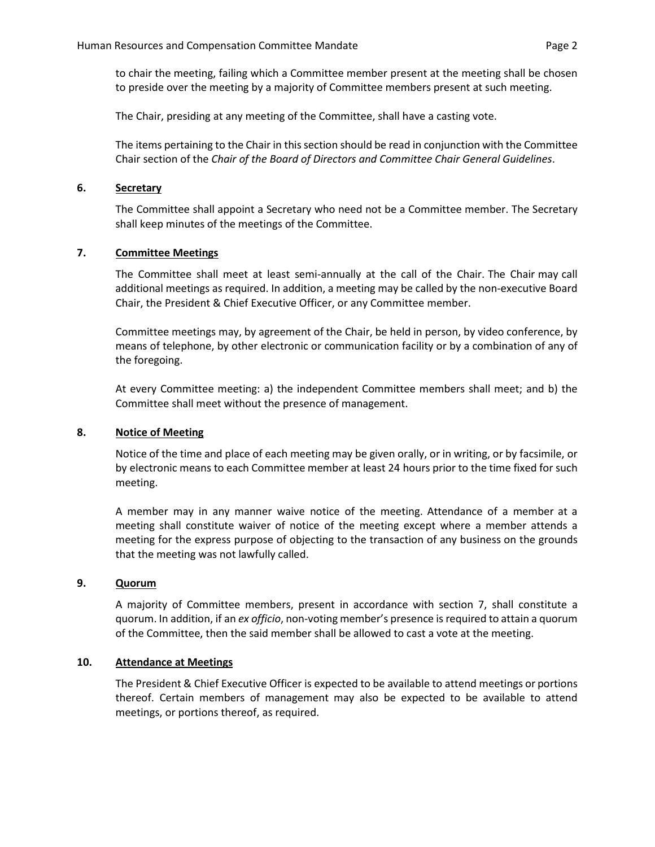to chair the meeting, failing which a Committee member present at the meeting shall be chosen to preside over the meeting by a majority of Committee members present at such meeting.

The Chair, presiding at any meeting of the Committee, shall have a casting vote.

The items pertaining to the Chair in this section should be read in conjunction with the Committee Chair section of the *Chair of the Board of Directors and Committee Chair General Guidelines*.

## **6. Secretary**

The Committee shall appoint a Secretary who need not be a Committee member. The Secretary shall keep minutes of the meetings of the Committee.

# **7. Committee Meetings**

The Committee shall meet at least semi-annually at the call of the Chair. The Chair may call additional meetings as required. In addition, a meeting may be called by the non-executive Board Chair, the President & Chief Executive Officer, or any Committee member.

Committee meetings may, by agreement of the Chair, be held in person, by video conference, by means of telephone, by other electronic or communication facility or by a combination of any of the foregoing.

At every Committee meeting: a) the independent Committee members shall meet; and b) the Committee shall meet without the presence of management.

## **8. Notice of Meeting**

Notice of the time and place of each meeting may be given orally, or in writing, or by facsimile, or by electronic means to each Committee member at least 24 hours prior to the time fixed for such meeting.

A member may in any manner waive notice of the meeting. Attendance of a member at a meeting shall constitute waiver of notice of the meeting except where a member attends a meeting for the express purpose of objecting to the transaction of any business on the grounds that the meeting was not lawfully called.

## **9. Quorum**

A majority of Committee members, present in accordance with section 7, shall constitute a quorum. In addition, if an *ex officio*, non-voting member's presence is required to attain a quorum of the Committee, then the said member shall be allowed to cast a vote at the meeting.

## **10. Attendance at Meetings**

The President & Chief Executive Officer is expected to be available to attend meetings or portions thereof. Certain members of management may also be expected to be available to attend meetings, or portions thereof, as required.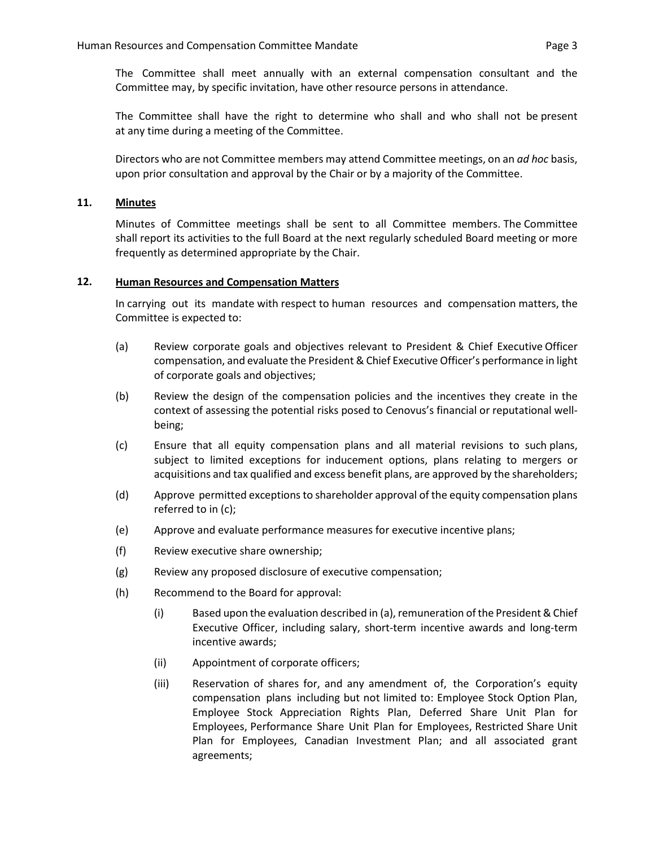The Committee shall meet annually with an external compensation consultant and the Committee may, by specific invitation, have other resource persons in attendance.

The Committee shall have the right to determine who shall and who shall not be present at any time during a meeting of the Committee.

Directors who are not Committee members may attend Committee meetings, on an *ad hoc* basis, upon prior consultation and approval by the Chair or by a majority of the Committee.

## **11. Minutes**

Minutes of Committee meetings shall be sent to all Committee members. The Committee shall report its activities to the full Board at the next regularly scheduled Board meeting or more frequently as determined appropriate by the Chair.

#### **12. Human Resources and Compensation Matters**

In carrying out its mandate with respect to human resources and compensation matters, the Committee is expected to:

- (a) Review corporate goals and objectives relevant to President & Chief Executive Officer compensation, and evaluate the President & Chief Executive Officer's performance in light of corporate goals and objectives;
- (b) Review the design of the compensation policies and the incentives they create in the context of assessing the potential risks posed to Cenovus's financial or reputational wellbeing;
- (c) Ensure that all equity compensation plans and all material revisions to such plans, subject to limited exceptions for inducement options, plans relating to mergers or acquisitions and tax qualified and excess benefit plans, are approved by the shareholders;
- (d) Approve permitted exceptions to shareholder approval of the equity compensation plans referred to in (c);
- (e) Approve and evaluate performance measures for executive incentive plans;
- (f) Review executive share ownership;
- (g) Review any proposed disclosure of executive compensation;
- (h) Recommend to the Board for approval:
	- (i) Based upon the evaluation described in (a), remuneration of the President& Chief Executive Officer, including salary, short-term incentive awards and long-term incentive awards;
	- (ii) Appointment of corporate officers;
	- (iii) Reservation of shares for, and any amendment of, the Corporation's equity compensation plans including but not limited to: Employee Stock Option Plan, Employee Stock Appreciation Rights Plan, Deferred Share Unit Plan for Employees, Performance Share Unit Plan for Employees, Restricted Share Unit Plan for Employees, Canadian Investment Plan; and all associated grant agreements;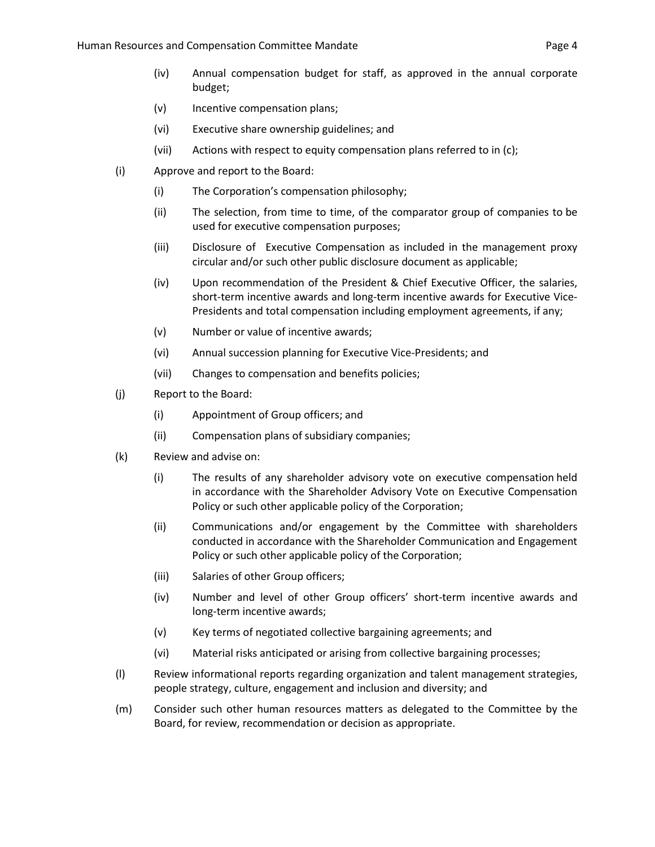- (iv) Annual compensation budget for staff, as approved in the annual corporate budget;
- (v) Incentive compensation plans;
- (vi) Executive share ownership guidelines; and
- (vii) Actions with respect to equity compensation plans referred to in (c);
- (i) Approve and report to the Board:
	- (i) The Corporation's compensation philosophy;
	- (ii) The selection, from time to time, of the comparator group of companies to be used for executive compensation purposes;
	- (iii) Disclosure of Executive Compensation as included in the management proxy circular and/or such other public disclosure document as applicable;
	- (iv) Upon recommendation of the President & Chief Executive Officer, the salaries, short-term incentive awards and long-term incentive awards for Executive Vice-Presidents and total compensation including employment agreements, if any;
	- (v) Number or value of incentive awards;
	- (vi) Annual succession planning for Executive Vice-Presidents; and
	- (vii) Changes to compensation and benefits policies;
- (j) Report to the Board:
	- (i) Appointment of Group officers; and
	- (ii) Compensation plans of subsidiary companies;
- (k) Review and advise on:
	- (i) The results of any shareholder advisory vote on executive compensation held in accordance with the Shareholder Advisory Vote on Executive Compensation Policy or such other applicable policy of the Corporation;
	- (ii) Communications and/or engagement by the Committee with shareholders conducted in accordance with the Shareholder Communication and Engagement Policy or such other applicable policy of the Corporation;
	- (iii) Salaries of other Group officers;
	- (iv) Number and level of other Group officers' short-term incentive awards and long-term incentive awards;
	- (v) Key terms of negotiated collective bargaining agreements; and
	- (vi) Material risks anticipated or arising from collective bargaining processes;
- (l) Review informational reports regarding organization and talent management strategies, people strategy, culture, engagement and inclusion and diversity; and
- (m) Consider such other human resources matters as delegated to the Committee by the Board, for review, recommendation or decision as appropriate.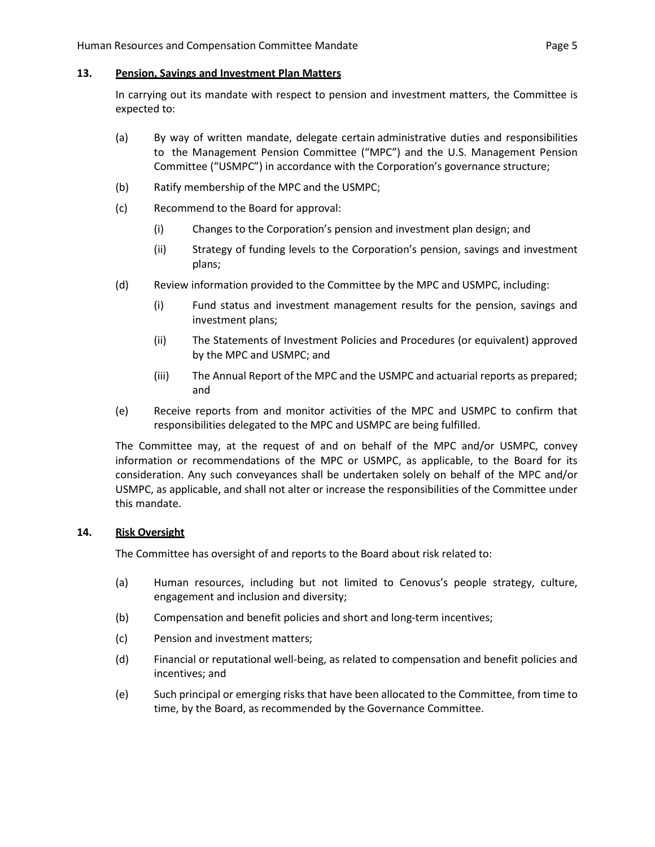#### **13. Pension, Savings and Investment Plan Matters**

In carrying out its mandate with respect to pension and investment matters, the Committee is expected to:

- (a) By way of written mandate, delegate certain administrative duties and responsibilities to the Management Pension Committee ("MPC") and the U.S. Management Pension Committee ("USMPC") in accordance with the Corporation's governance structure;
- (b) Ratify membership of the MPC and the USMPC;
- (c) Recommend to the Board for approval:
	- (i) Changes to the Corporation's pension and investment plan design; and
	- (ii) Strategy of funding levels to the Corporation's pension, savings and investment plans;
- (d) Review information provided to the Committee by the MPC and USMPC, including:
	- (i) Fund status and investment management results for the pension, savings and investment plans;
	- (ii) The Statements of Investment Policies and Procedures (or equivalent) approved by the MPC and USMPC; and
	- (iii) The Annual Report of the MPC and the USMPC and actuarial reports as prepared; and
- (e) Receive reports from and monitor activities of the MPC and USMPC to confirm that responsibilities delegated to the MPC and USMPC are being fulfilled.

The Committee may, at the request of and on behalf of the MPC and/or USMPC, convey information or recommendations of the MPC or USMPC, as applicable, to the Board for its consideration. Any such conveyances shall be undertaken solely on behalf of the MPC and/or USMPC, as applicable, and shall not alter or increase the responsibilities of the Committee under this mandate.

## **14. Risk Oversight**

The Committee has oversight of and reports to the Board about risk related to:

- (a) Human resources, including but not limited to Cenovus's people strategy, culture, engagement and inclusion and diversity;
- (b) Compensation and benefit policies and short and long-term incentives;
- (c) Pension and investment matters;
- (d) Financial or reputational well-being, as related to compensation and benefit policies and incentives; and
- (e) Such principal or emerging risks that have been allocated to the Committee, from time to time, by the Board, as recommended by the Governance Committee.